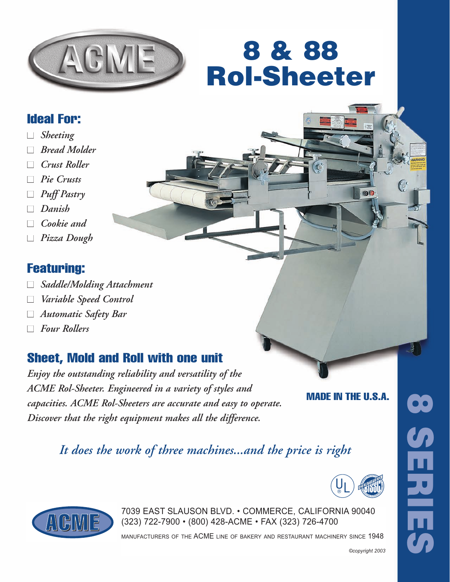

# 8 & 88 Rol-Sheeter

### Ideal For:

- *Sheeting*
- *Bread Molder*
- *Crust Roller*
- *Pie Crusts*
- *Puff Pastry*
- *Danish*
- *Cookie and*
- *Pizza Dough*

#### Featuring:

- *Saddle/Molding Attachment*
- *Variable Speed Control*
- *Automatic Safety Bar*
- *Four Rollers*

### Sheet, Mold and Roll with one unit

*Enjoy the outstanding reliability and versatility of the ACME Rol-Sheeter. Engineered in a variety of styles and capacities. ACME Rol-Sheeters are accurate and easy to operate. Discover that the right equipment makes all the difference.*

MADE IN THE U.S.A.

oo

*It does the work of three machines...and the price is right*





7039 EAST SLAUSON BLVD. • COMMERCE, CALIFORNIA 90040<br>(323) 722-7900 • (800) 428-ACME • FAX (323) 726-4700 (323) 722-7900 • (800) 428-ACME • FAX (323) 726-4700

manufacturers of the ACME line of bakery and restaurant machinery since 1948